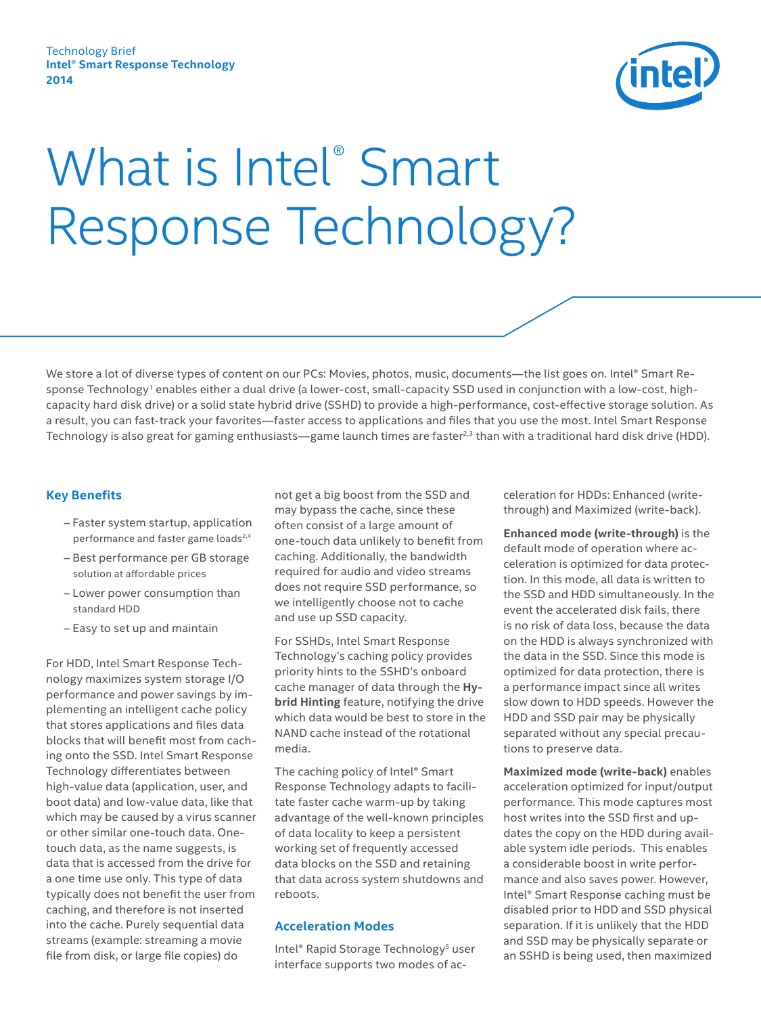

# What is Intel® Smart Response Technology?

We store a lot of diverse types of content on our PCs: Movies, photos, music, documents—the list goes on. Intel® Smart Response Technology<sup>1</sup> enables either a dual drive (a lower-cost, small-capacity SSD used in conjunction with a low-cost, highcapacity hard disk drive) or a solid state hybrid drive (SSHD) to provide a high-performance, cost-effective storage solution. As a result, you can fast-track your favorites—faster access to applications and files that you use the most. Intel Smart Response Technology is also great for gaming enthusiasts—game launch times are faster<sup>2,3</sup> than with a traditional hard disk drive (HDD).

## **Key Benefits**

- ‒ Faster system startup, application performance and faster game loads<sup>2,4</sup>
- Best performance per GB storage solution at affordable prices
- Lower power consumption than standard HDD
- ‒ Easy to set up and maintain

For HDD, Intel Smart Response Technology maximizes system storage I/O performance and power savings by implementing an intelligent cache policy that stores applications and files data blocks that will benefit most from caching onto the SSD. Intel Smart Response Technology differentiates between high-value data (application, user, and boot data) and low-value data, like that which may be caused by a virus scanner or other similar one-touch data. Onetouch data, as the name suggests, is data that is accessed from the drive for a one time use only. This type of data typically does not benefit the user from caching, and therefore is not inserted into the cache. Purely sequential data streams (example: streaming a movie file from disk, or large file copies) do

not get a big boost from the SSD and may bypass the cache, since these often consist of a large amount of one-touch data unlikely to benefit from caching. Additionally, the bandwidth required for audio and video streams does not require SSD performance, so we intelligently choose not to cache and use up SSD capacity.

For SSHDs, Intel Smart Response Technology's caching policy provides priority hints to the SSHD's onboard cache manager of data through the **Hybrid Hinting** feature, notifying the drive which data would be best to store in the NAND cache instead of the rotational media.

The caching policy of Intel® Smart Response Technology adapts to facilitate faster cache warm-up by taking advantage of the well-known principles of data locality to keep a persistent working set of frequently accessed data blocks on the SSD and retaining that data across system shutdowns and reboots.

### **Acceleration Modes**

Intel® Rapid Storage Technology<sup>5</sup> user interface supports two modes of acceleration for HDDs: Enhanced (writethrough) and Maximized (write-back).

**Enhanced mode (write-through)** is the default mode of operation where acceleration is optimized for data protection. In this mode, all data is written to the SSD and HDD simultaneously. In the event the accelerated disk fails, there is no risk of data loss, because the data on the HDD is always synchronized with the data in the SSD. Since this mode is optimized for data protection, there is a performance impact since all writes slow down to HDD speeds. However the HDD and SSD pair may be physically separated without any special precautions to preserve data.

**Maximized mode (write-back)** enables acceleration optimized for input/output performance. This mode captures most host writes into the SSD first and updates the copy on the HDD during available system idle periods. This enables a considerable boost in write performance and also saves power. However, Intel® Smart Response caching must be disabled prior to HDD and SSD physical separation. If it is unlikely that the HDD and SSD may be physically separate or an SSHD is being used, then maximized